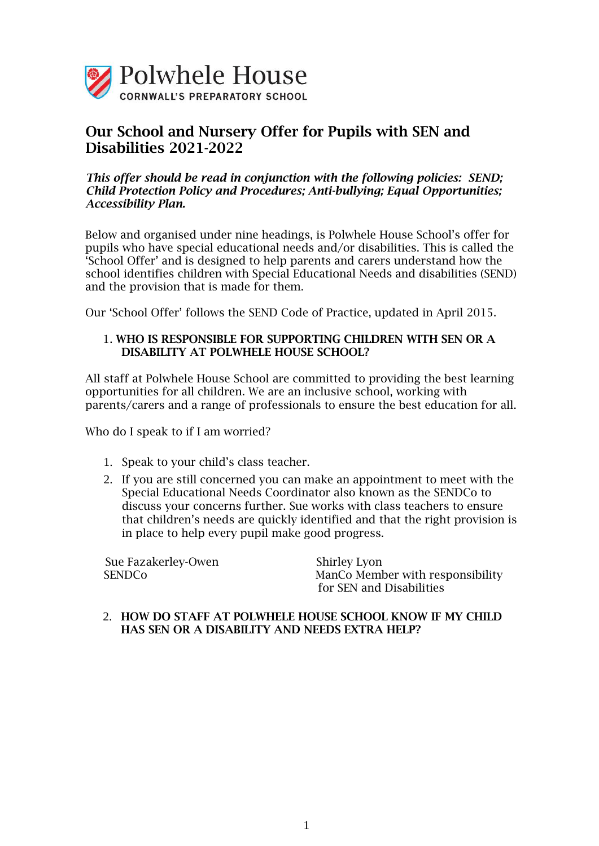

# Our School and Nursery Offer for Pupils with SEN and Disabilities 2021-2022

## *This offer should be read in conjunction with the following policies: SEND; Child Protection Policy and Procedures; Anti-bullying; Equal Opportunities; Accessibility Plan.*

Below and organised under nine headings, is Polwhele House School's offer for pupils who have special educational needs and/or disabilities. This is called the 'School Offer' and is designed to help parents and carers understand how the school identifies children with Special Educational Needs and disabilities (SEND) and the provision that is made for them.

Our 'School Offer' follows the SEND Code of Practice, updated in April 2015.

# 1. WHO IS RESPONSIBLE FOR SUPPORTING CHILDREN WITH SEN OR A DISABILITY AT POLWHELE HOUSE SCHOOL?

All staff at Polwhele House School are committed to providing the best learning opportunities for all children. We are an inclusive school, working with parents/carers and a range of professionals to ensure the best education for all.

Who do I speak to if I am worried?

- 1. Speak to your child's class teacher.
- 2. If you are still concerned you can make an appointment to meet with the Special Educational Needs Coordinator also known as the SENDCo to discuss your concerns further. Sue works with class teachers to ensure that children's needs are quickly identified and that the right provision is in place to help every pupil make good progress.

Sue Fazakerley-Owen Shirley Lyon

SENDCo ManCo Member with responsibility for SEN and Disabilities

## 2. HOW DO STAFF AT POLWHELE HOUSE SCHOOL KNOW IF MY CHILD HAS SEN OR A DISABILITY AND NEEDS EXTRA HELP?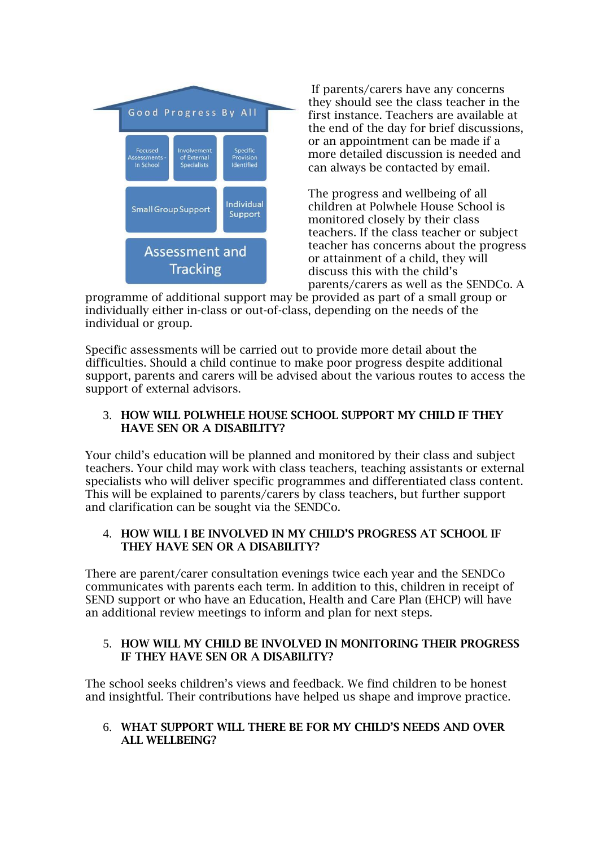

If parents/carers have any concerns they should see the class teacher in the first instance. Teachers are available at the end of the day for brief discussions, or an appointment can be made if a more detailed discussion is needed and can always be contacted by email.

The progress and wellbeing of all children at Polwhele House School is monitored closely by their class teachers. If the class teacher or subject teacher has concerns about the progress or attainment of a child, they will discuss this with the child's parents/carers as well as the SENDCo. A

programme of additional support may be provided as part of a small group or individually either in-class or out-of-class, depending on the needs of the individual or group.

Specific assessments will be carried out to provide more detail about the difficulties. Should a child continue to make poor progress despite additional support, parents and carers will be advised about the various routes to access the support of external advisors.

# 3. HOW WILL POLWHELE HOUSE SCHOOL SUPPORT MY CHILD IF THEY HAVE SEN OR A DISABILITY?

Your child's education will be planned and monitored by their class and subject teachers. Your child may work with class teachers, teaching assistants or external specialists who will deliver specific programmes and differentiated class content. This will be explained to parents/carers by class teachers, but further support and clarification can be sought via the SENDCo.

# 4. HOW WILL I BE INVOLVED IN MY CHILD'S PROGRESS AT SCHOOL IF THEY HAVE SEN OR A DISABILITY?

There are parent/carer consultation evenings twice each year and the SENDCo communicates with parents each term. In addition to this, children in receipt of SEND support or who have an Education, Health and Care Plan (EHCP) will have an additional review meetings to inform and plan for next steps.

# 5. HOW WILL MY CHILD BE INVOLVED IN MONITORING THEIR PROGRESS IF THEY HAVE SEN OR A DISABILITY?

The school seeks children's views and feedback. We find children to be honest and insightful. Their contributions have helped us shape and improve practice.

# 6. WHAT SUPPORT WILL THERE BE FOR MY CHILD'S NEEDS AND OVER ALL WELLBEING?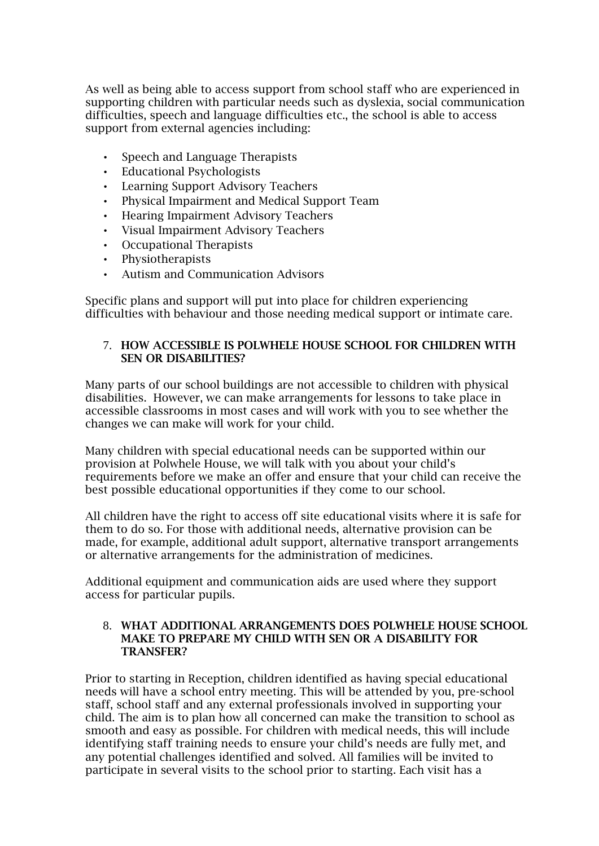As well as being able to access support from school staff who are experienced in supporting children with particular needs such as dyslexia, social communication difficulties, speech and language difficulties etc., the school is able to access support from external agencies including:

- Speech and Language Therapists
- Educational Psychologists
- Learning Support Advisory Teachers
- Physical Impairment and Medical Support Team
- Hearing Impairment Advisory Teachers
- Visual Impairment Advisory Teachers
- Occupational Therapists
- Physiotherapists
- Autism and Communication Advisors

Specific plans and support will put into place for children experiencing difficulties with behaviour and those needing medical support or intimate care.

## 7. HOW ACCESSIBLE IS POLWHELE HOUSE SCHOOL FOR CHILDREN WITH SEN OR DISABILITIES?

Many parts of our school buildings are not accessible to children with physical disabilities. However, we can make arrangements for lessons to take place in accessible classrooms in most cases and will work with you to see whether the changes we can make will work for your child.

Many children with special educational needs can be supported within our provision at Polwhele House, we will talk with you about your child's requirements before we make an offer and ensure that your child can receive the best possible educational opportunities if they come to our school.

All children have the right to access off site educational visits where it is safe for them to do so. For those with additional needs, alternative provision can be made, for example, additional adult support, alternative transport arrangements or alternative arrangements for the administration of medicines.

Additional equipment and communication aids are used where they support access for particular pupils.

#### 8. WHAT ADDITIONAL ARRANGEMENTS DOES POLWHELE HOUSE SCHOOL MAKE TO PREPARE MY CHILD WITH SEN OR A DISABILITY FOR TRANSFER?

Prior to starting in Reception, children identified as having special educational needs will have a school entry meeting. This will be attended by you, pre-school staff, school staff and any external professionals involved in supporting your child. The aim is to plan how all concerned can make the transition to school as smooth and easy as possible. For children with medical needs, this will include identifying staff training needs to ensure your child's needs are fully met, and any potential challenges identified and solved. All families will be invited to participate in several visits to the school prior to starting. Each visit has a